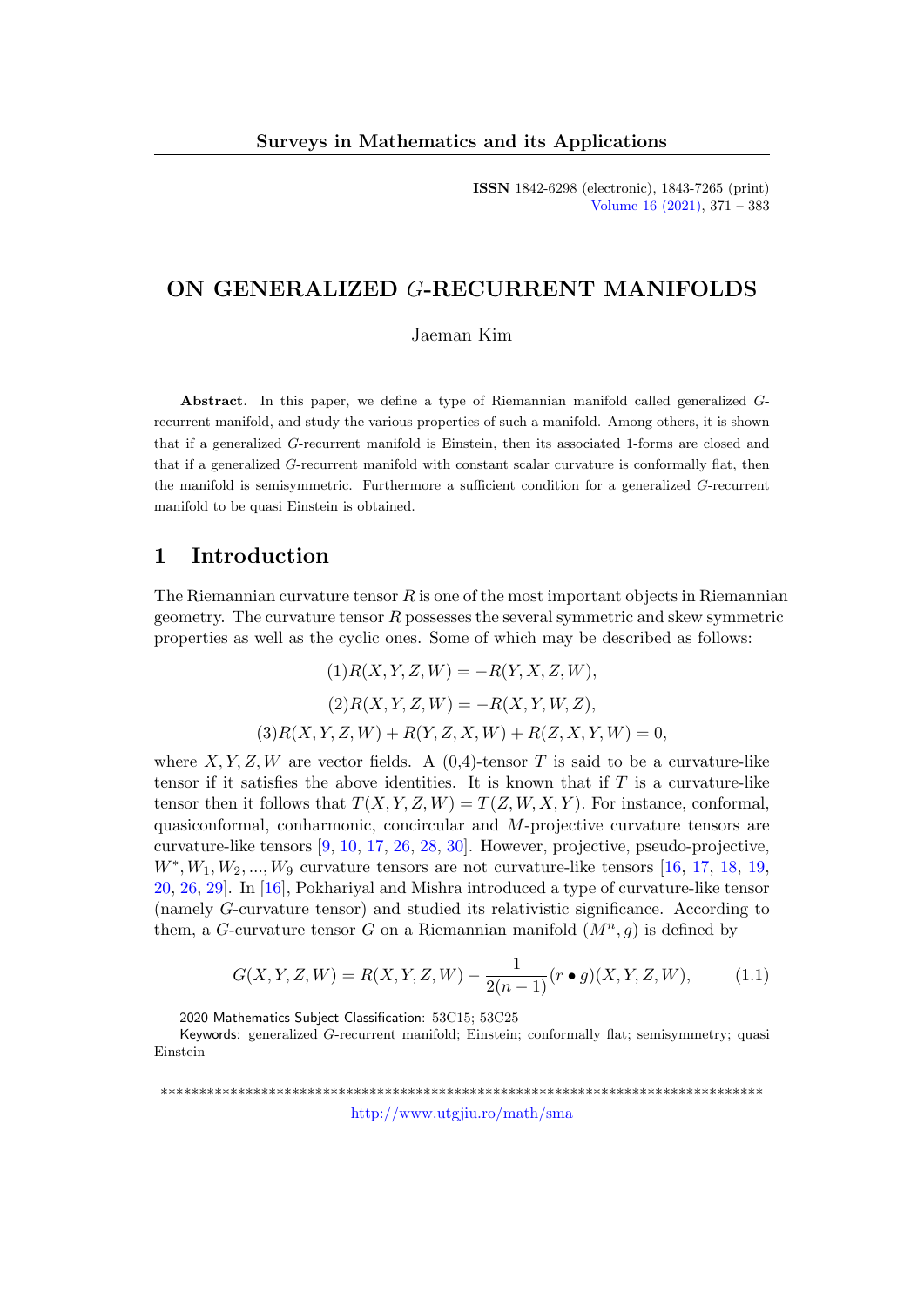ISSN 1842-6298 (electronic), 1843-7265 (print) [Volume 16 \(2021\),](http://www.utgjiu.ro/math/sma/v16/v16.html) 371 – 383

## ON GENERALIZED G-RECURRENT MANIFOLDS

Jaeman Kim

Abstract. In this paper, we define a type of Riemannian manifold called generalized Grecurrent manifold, and study the various properties of such a manifold. Among others, it is shown that if a generalized G-recurrent manifold is Einstein, then its associated 1-forms are closed and that if a generalized G-recurrent manifold with constant scalar curvature is conformally flat, then the manifold is semisymmetric. Furthermore a sufficient condition for a generalized G-recurrent manifold to be quasi Einstein is obtained.

### 1 Introduction

The Riemannian curvature tensor  $R$  is one of the most important objects in Riemannian geometry. The curvature tensor  $R$  possesses the several symmetric and skew symmetric properties as well as the cyclic ones. Some of which may be described as follows:

> $(1)R(X, Y, Z, W) = -R(Y, X, Z, W),$  $(2)R(X, Y, Z, W) = -R(X, Y, W, Z),$  $(3)R(X, Y, Z, W) + R(Y, Z, X, W) + R(Z, X, Y, W) = 0,$

where X, Y, Z, W are vector fields. A  $(0,4)$ -tensor T is said to be a curvature-like tensor if it satisfies the above identities. It is known that if  $T$  is a curvature-like tensor then it follows that  $T(X, Y, Z, W) = T(Z, W, X, Y)$ . For instance, conformal, quasiconformal, conharmonic, concircular and M-projective curvature tensors are curvature-like tensors [\[9,](#page-11-0) [10,](#page-11-1) [17,](#page-11-2) [26,](#page-12-0) [28,](#page-12-1) [30\]](#page-12-2). However, projective, pseudo-projective,  $W^*, W_1, W_2, ..., W_9$  curvature tensors are not curvature-like tensors [\[16,](#page-11-3) [17,](#page-11-2) [18,](#page-11-4) [19,](#page-11-5) [20,](#page-11-6) [26,](#page-12-0) [29\]](#page-12-3). In [\[16\]](#page-11-3), Pokhariyal and Mishra introduced a type of curvature-like tensor (namely G-curvature tensor) and studied its relativistic significance. According to them, a G-curvature tensor G on a Riemannian manifold  $(M^n, g)$  is defined by

<span id="page-0-0"></span>
$$
G(X, Y, Z, W) = R(X, Y, Z, W) - \frac{1}{2(n-1)} (r \bullet g)(X, Y, Z, W), \tag{1.1}
$$

\*\*\*\*\*\*\*\*\*\*\*\*\*\*\*\*\*\*\*\*\*\*\*\*\*\*\*\*\*\*\*\*\*\*\*\*\*\*\*\*\*\*\*\*\*\*\*\*\*\*\*\*\*\*\*\*\*\*\*\*\*\*\*\*\*\*\*\*\*\*\*\*\*\*\*\*\*\* <http://www.utgjiu.ro/math/sma>

<sup>2020</sup> Mathematics Subject Classification: 53C15; 53C25

Keywords: generalized G-recurrent manifold; Einstein; conformally flat; semisymmetry; quasi Einstein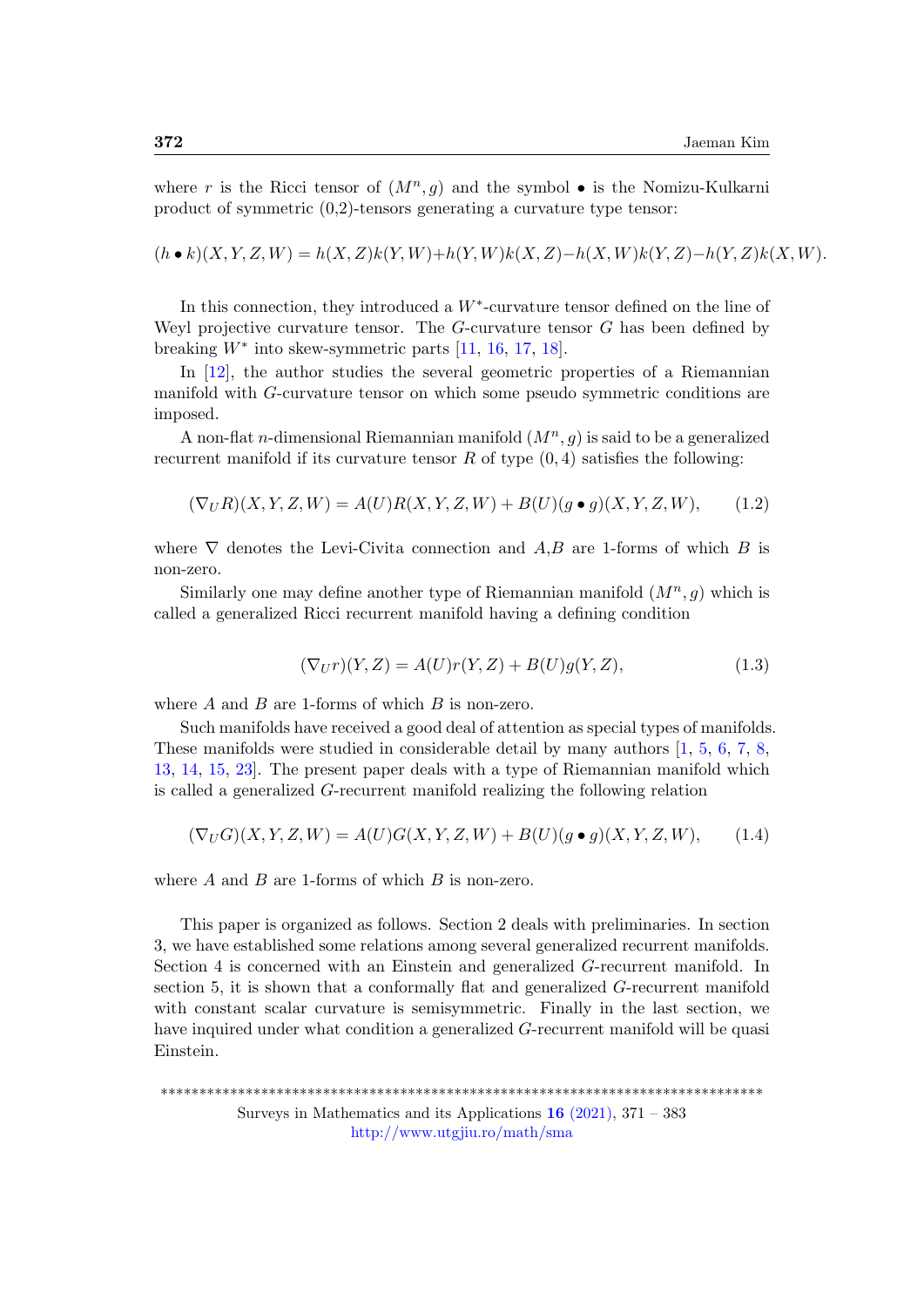where r is the Ricci tensor of  $(M^n, g)$  and the symbol  $\bullet$  is the Nomizu-Kulkarni product of symmetric (0,2)-tensors generating a curvature type tensor:

 $(h \bullet k)(X, Y, Z, W) = h(X, Z)k(Y, W) + h(Y, W)k(X, Z) - h(X, W)k(Y, Z) - h(Y, Z)k(X, W).$ 

In this connection, they introduced a  $W^*$ -curvature tensor defined on the line of Weyl projective curvature tensor. The  $G$ -curvature tensor  $G$  has been defined by breaking  $W^*$  into skew-symmetric parts [\[11,](#page-11-7) [16,](#page-11-3) [17,](#page-11-2) [18\]](#page-11-4).

In [\[12\]](#page-11-8), the author studies the several geometric properties of a Riemannian manifold with G-curvature tensor on which some pseudo symmetric conditions are imposed.

A non-flat *n*-dimensional Riemannian manifold  $(M^n, g)$  is said to be a generalized recurrent manifold if its curvature tensor  $R$  of type  $(0, 4)$  satisfies the following:

$$
(\nabla_U R)(X, Y, Z, W) = A(U)R(X, Y, Z, W) + B(U)(g \bullet g)(X, Y, Z, W), \tag{1.2}
$$

where  $\nabla$  denotes the Levi-Civita connection and A,B are 1-forms of which B is non-zero.

Similarly one may define another type of Riemannian manifold  $(M^n, g)$  which is called a generalized Ricci recurrent manifold having a defining condition

$$
(\nabla_U r)(Y,Z) = A(U)r(Y,Z) + B(U)g(Y,Z),\tag{1.3}
$$

where  $A$  and  $B$  are 1-forms of which  $B$  is non-zero.

Such manifolds have received a good deal of attention as special types of manifolds. These manifolds were studied in considerable detail by many authors [\[1,](#page-10-0) [5,](#page-10-1) [6,](#page-10-2) [7,](#page-10-3) [8,](#page-11-9) [13,](#page-11-10) [14,](#page-11-11) [15,](#page-11-12) [23\]](#page-12-4). The present paper deals with a type of Riemannian manifold which is called a generalized G-recurrent manifold realizing the following relation

<span id="page-1-0"></span>
$$
(\nabla_U G)(X, Y, Z, W) = A(U)G(X, Y, Z, W) + B(U)(g \bullet g)(X, Y, Z, W), \tag{1.4}
$$

where A and B are 1-forms of which B is non-zero.

This paper is organized as follows. Section 2 deals with preliminaries. In section 3, we have established some relations among several generalized recurrent manifolds. Section 4 is concerned with an Einstein and generalized G-recurrent manifold. In section 5, it is shown that a conformally flat and generalized G-recurrent manifold with constant scalar curvature is semisymmetric. Finally in the last section, we have inquired under what condition a generalized G-recurrent manifold will be quasi Einstein.

\*\*\*\*\*\*\*\*\*\*\*\*\*\*\*\*\*\*\*\*\*\*\*\*\*\*\*\*\*\*\*\*\*\*\*\*\*\*\*\*\*\*\*\*\*\*\*\*\*\*\*\*\*\*\*\*\*\*\*\*\*\*\*\*\*\*\*\*\*\*\*\*\*\*\*\*\*\* Surveys in Mathematics and its Applications  $16$  [\(2021\),](http://www.utgjiu.ro/math/sma/v16/v16.html) 371 – 383 <http://www.utgjiu.ro/math/sma>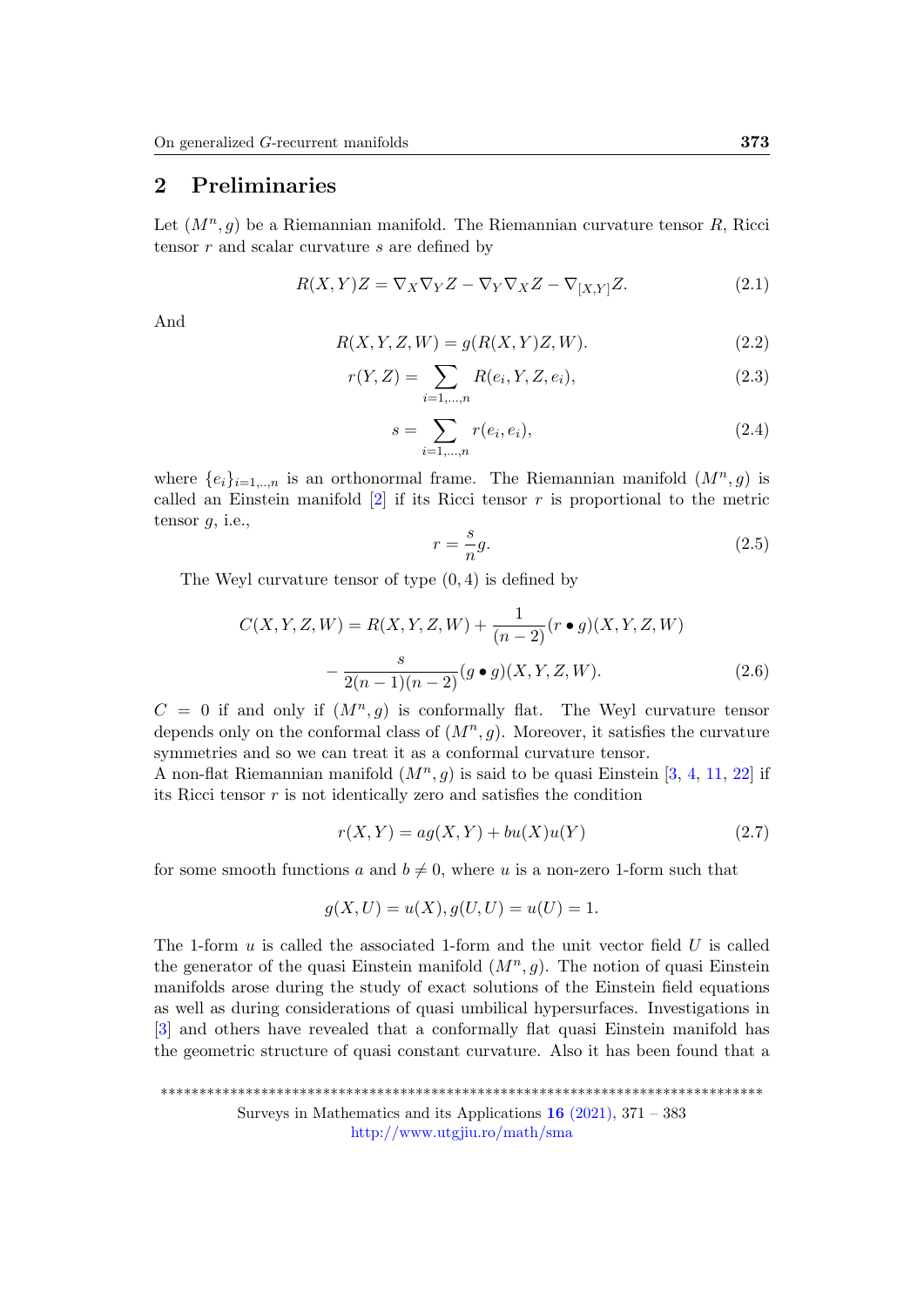## 2 Preliminaries

Let  $(M^n, g)$  be a Riemannian manifold. The Riemannian curvature tensor R, Ricci tensor  $r$  and scalar curvature  $s$  are defined by

$$
R(X,Y)Z = \nabla_X \nabla_Y Z - \nabla_Y \nabla_X Z - \nabla_{[X,Y]} Z.
$$
\n(2.1)

And

$$
R(X, Y, Z, W) = g(R(X, Y)Z, W). \tag{2.2}
$$

$$
r(Y, Z) = \sum_{i=1,\dots,n} R(e_i, Y, Z, e_i),
$$
\n(2.3)

$$
s = \sum_{i=1,\dots,n} r(e_i, e_i),
$$
\n(2.4)

where  $\{e_i\}_{i=1,\dots,n}$  is an orthonormal frame. The Riemannian manifold  $(M^n, g)$  is called an Einstein manifold  $[2]$  if its Ricci tensor r is proportional to the metric tensor  $q$ , i.e.,

<span id="page-2-0"></span>
$$
r = \frac{s}{n}g.\tag{2.5}
$$

The Weyl curvature tensor of type  $(0, 4)$  is defined by

<span id="page-2-1"></span>
$$
C(X, Y, Z, W) = R(X, Y, Z, W) + \frac{1}{(n-2)} (r \bullet g)(X, Y, Z, W)
$$

$$
- \frac{s}{2(n-1)(n-2)} (g \bullet g)(X, Y, Z, W).
$$
(2.6)

 $C = 0$  if and only if  $(M^n, g)$  is conformally flat. The Weyl curvature tensor depends only on the conformal class of  $(M^n, g)$ . Moreover, it satisfies the curvature symmetries and so we can treat it as a conformal curvature tensor.

A non-flat Riemannian manifold  $(M^n, g)$  is said to be quasi Einstein [\[3,](#page-10-5) [4,](#page-10-6) [11,](#page-11-7) [22\]](#page-12-5) if its Ricci tensor r is not identically zero and satisfies the condition

$$
r(X,Y) = ag(X,Y) + bu(X)u(Y)
$$
\n
$$
(2.7)
$$

for some smooth functions a and  $b \neq 0$ , where u is a non-zero 1-form such that

$$
g(X, U) = u(X), g(U, U) = u(U) = 1.
$$

The 1-form  $u$  is called the associated 1-form and the unit vector field  $U$  is called the generator of the quasi Einstein manifold  $(M^n, g)$ . The notion of quasi Einstein manifolds arose during the study of exact solutions of the Einstein field equations as well as during considerations of quasi umbilical hypersurfaces. Investigations in [\[3\]](#page-10-5) and others have revealed that a conformally flat quasi Einstein manifold has the geometric structure of quasi constant curvature. Also it has been found that a

\*\*\*\*\*\*\*\*\*\*\*\*\*\*\*\*\*\*\*\*\*\*\*\*\*\*\*\*\*\*\*\*\*\*\*\*\*\*\*\*\*\*\*\*\*\*\*\*\*\*\*\*\*\*\*\*\*\*\*\*\*\*\*\*\*\*\*\*\*\*\*\*\*\*\*\*\*\* Surveys in Mathematics and its Applications  $16$  [\(2021\),](http://www.utgjiu.ro/math/sma/v16/v16.html) 371 – 383 <http://www.utgjiu.ro/math/sma>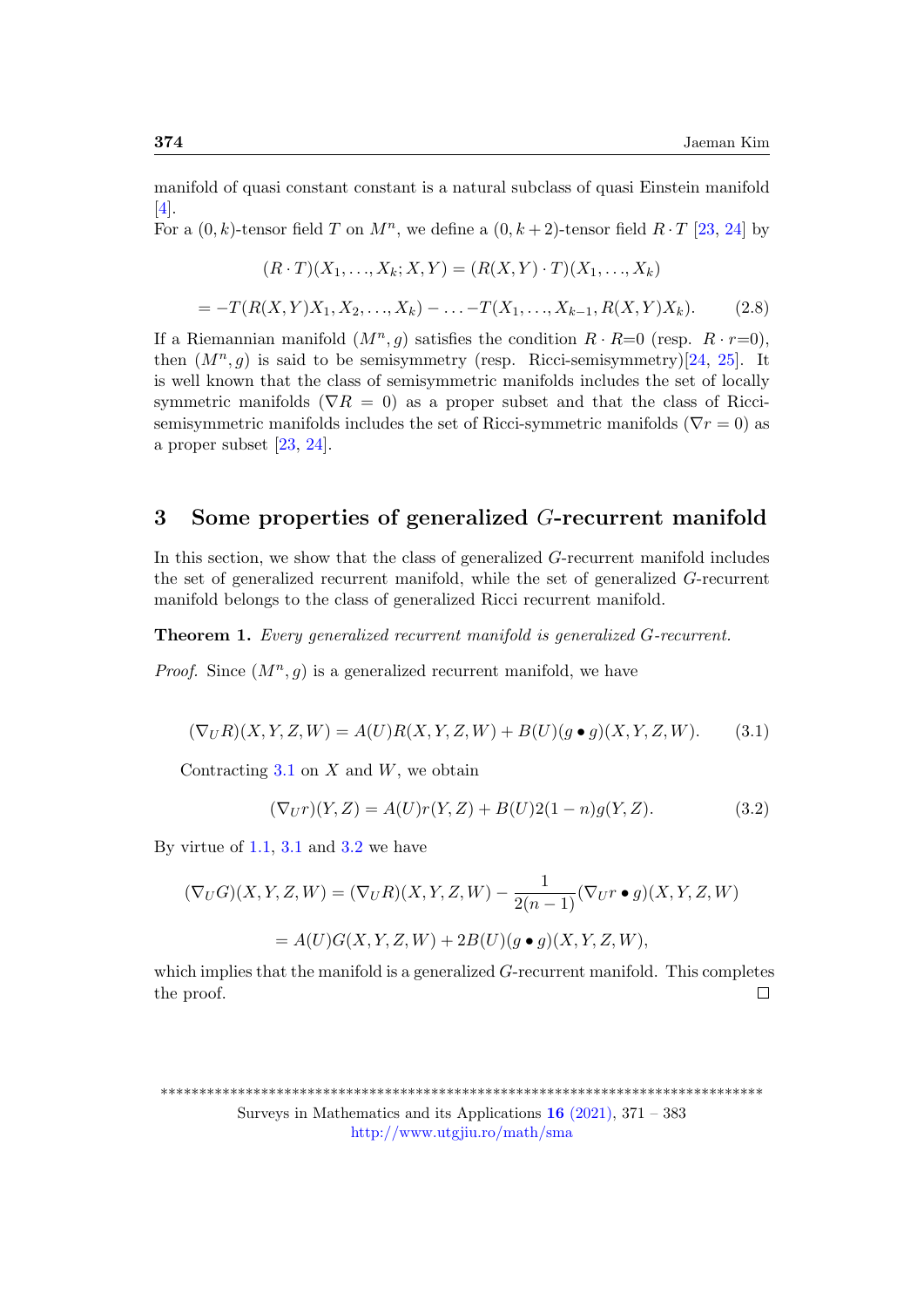manifold of quasi constant constant is a natural subclass of quasi Einstein manifold  $|4|$ .

For a  $(0, k)$ -tensor field T on  $M<sup>n</sup>$ , we define a  $(0, k + 2)$ -tensor field  $R \cdot T$  [\[23,](#page-12-4) [24\]](#page-12-6) by

$$
(R \cdot T)(X_1, \ldots, X_k; X, Y) = (R(X, Y) \cdot T)(X_1, \ldots, X_k)
$$

$$
= -T(R(X,Y)X_1, X_2, \dots, X_k) - \dots - T(X_1, \dots, X_{k-1}, R(X,Y)X_k).
$$
 (2.8)

If a Riemannian manifold  $(M^n, g)$  satisfies the condition  $R \cdot R = 0$  (resp.  $R \cdot r = 0$ ), then  $(M^n, g)$  is said to be semisymmetry (resp. Ricci-semisymmetry)[\[24,](#page-12-6) [25\]](#page-12-7). It is well known that the class of semisymmetric manifolds includes the set of locally symmetric manifolds ( $\nabla R = 0$ ) as a proper subset and that the class of Riccisemisymmetric manifolds includes the set of Ricci-symmetric manifolds ( $\nabla r = 0$ ) as a proper subset [\[23,](#page-12-4) [24\]](#page-12-6).

## 3 Some properties of generalized G-recurrent manifold

In this section, we show that the class of generalized G-recurrent manifold includes the set of generalized recurrent manifold, while the set of generalized G-recurrent manifold belongs to the class of generalized Ricci recurrent manifold.

Theorem 1. Every generalized recurrent manifold is generalized G-recurrent.

*Proof.* Since  $(M^n, g)$  is a generalized recurrent manifold, we have

<span id="page-3-0"></span>
$$
(\nabla_U R)(X, Y, Z, W) = A(U)R(X, Y, Z, W) + B(U)(g \bullet g)(X, Y, Z, W).
$$
 (3.1)

Contracting  $3.1$  on X and W, we obtain

<span id="page-3-1"></span>
$$
(\nabla_U r)(Y,Z) = A(U)r(Y,Z) + B(U)2(1-n)g(Y,Z).
$$
\n(3.2)

By virtue of  $1.1$ ,  $3.1$  and  $3.2$  we have

$$
(\nabla_U G)(X, Y, Z, W) = (\nabla_U R)(X, Y, Z, W) - \frac{1}{2(n-1)}(\nabla_U r \bullet g)(X, Y, Z, W)
$$

$$
= A(U)G(X, Y, Z, W) + 2B(U)(g \bullet g)(X, Y, Z, W),
$$

which implies that the manifold is a generalized G-recurrent manifold. This completes the proof.  $\Box$ 

<sup>\*\*\*\*\*\*\*\*\*\*\*\*\*\*\*\*\*\*\*\*\*\*\*\*\*\*\*\*\*\*\*\*\*\*\*\*\*\*\*\*\*\*\*\*\*\*\*\*\*\*\*\*\*\*\*\*\*\*\*\*\*\*\*\*\*\*\*\*\*\*\*\*\*\*\*\*\*\*</sup> Surveys in Mathematics and its Applications  $16$  [\(2021\),](http://www.utgjiu.ro/math/sma/v16/v16.html) 371 – 383 <http://www.utgjiu.ro/math/sma>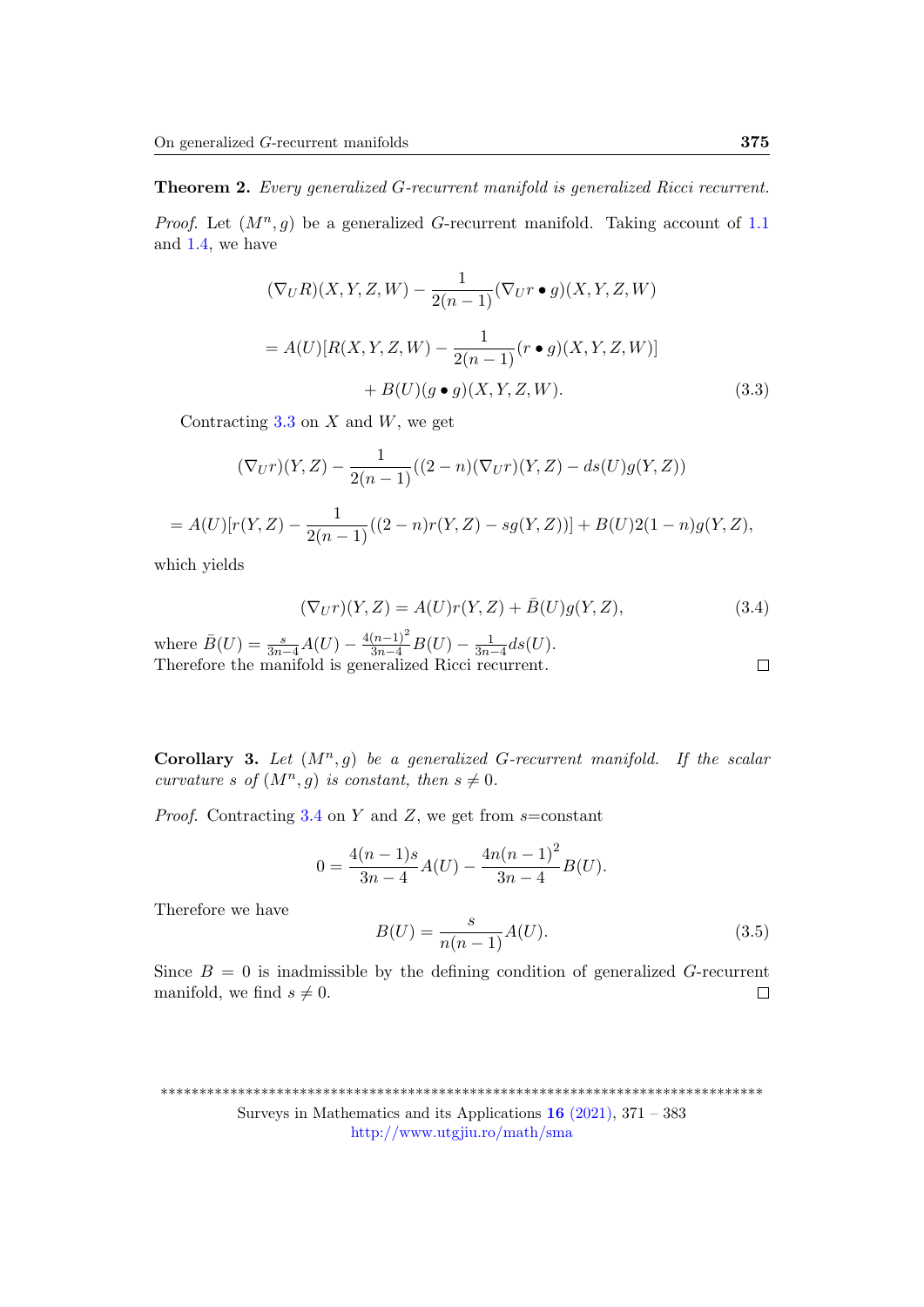### Theorem 2. Every generalized G-recurrent manifold is generalized Ricci recurrent.

*Proof.* Let  $(M^n, g)$  be a generalized G-recurrent manifold. Taking account of [1.1](#page-0-0) and [1.4,](#page-1-0) we have

<span id="page-4-0"></span>
$$
(\nabla_U R)(X, Y, Z, W) - \frac{1}{2(n-1)}(\nabla_U r \bullet g)(X, Y, Z, W)
$$

$$
= A(U)[R(X, Y, Z, W) - \frac{1}{2(n-1)}(r \bullet g)(X, Y, Z, W)]
$$

$$
+ B(U)(g \bullet g)(X, Y, Z, W).
$$
(3.3)

Contracting  $3.3$  on  $X$  and  $W$ , we get

$$
(\nabla_U r)(Y,Z) - \frac{1}{2(n-1)}((2-n)(\nabla_U r)(Y,Z) - ds(U)g(Y,Z))
$$
  
=  $A(U)[r(Y,Z) - \frac{1}{2(n-1)}((2-n)r(Y,Z) - sg(Y,Z))] + B(U)2(1-n)g(Y,Z),$ 

which yields

<span id="page-4-1"></span>
$$
(\nabla_U r)(Y, Z) = A(U)r(Y, Z) + \bar{B}(U)g(Y, Z),
$$
\n(3.4)

where  $\bar{B}(U) = \frac{s}{3n-4}A(U) - \frac{4(n-1)^2}{3n-4}B(U) - \frac{1}{3n-4}ds(U).$ Therefore the manifold is generalized Ricci recurrent.

<span id="page-4-2"></span>**Corollary 3.** Let  $(M^n, g)$  be a generalized G-recurrent manifold. If the scalar curvature s of  $(M^n, g)$  is constant, then  $s \neq 0$ .

*Proof.* Contracting [3.4](#page-4-1) on Y and Z, we get from  $s$ =constant

$$
0 = \frac{4(n-1)s}{3n-4}A(U) - \frac{4n(n-1)^2}{3n-4}B(U).
$$

Therefore we have

$$
B(U) = \frac{s}{n(n-1)}A(U).
$$
\n(3.5)

Since  $B = 0$  is inadmissible by the defining condition of generalized G-recurrent manifold, we find  $s \neq 0$ .  $\Box$ 

\*\*\*\*\*\*\*\*\*\*\*\*\*\*\*\*\*\*\*\*\*\*\*\*\*\*\*\*\*\*\*\*\*\*\*\*\*\*\*\*\*\*\*\*\*\*\*\*\*\*\*\*\*\*\*\*\*\*\*\*\*\*\*\*\*\*\*\*\*\*\*\*\*\*\*\*\*\* Surveys in Mathematics and its Applications  $16$  [\(2021\),](http://www.utgjiu.ro/math/sma/v16/v16.html) 371 – 383

<http://www.utgjiu.ro/math/sma>

 $\Box$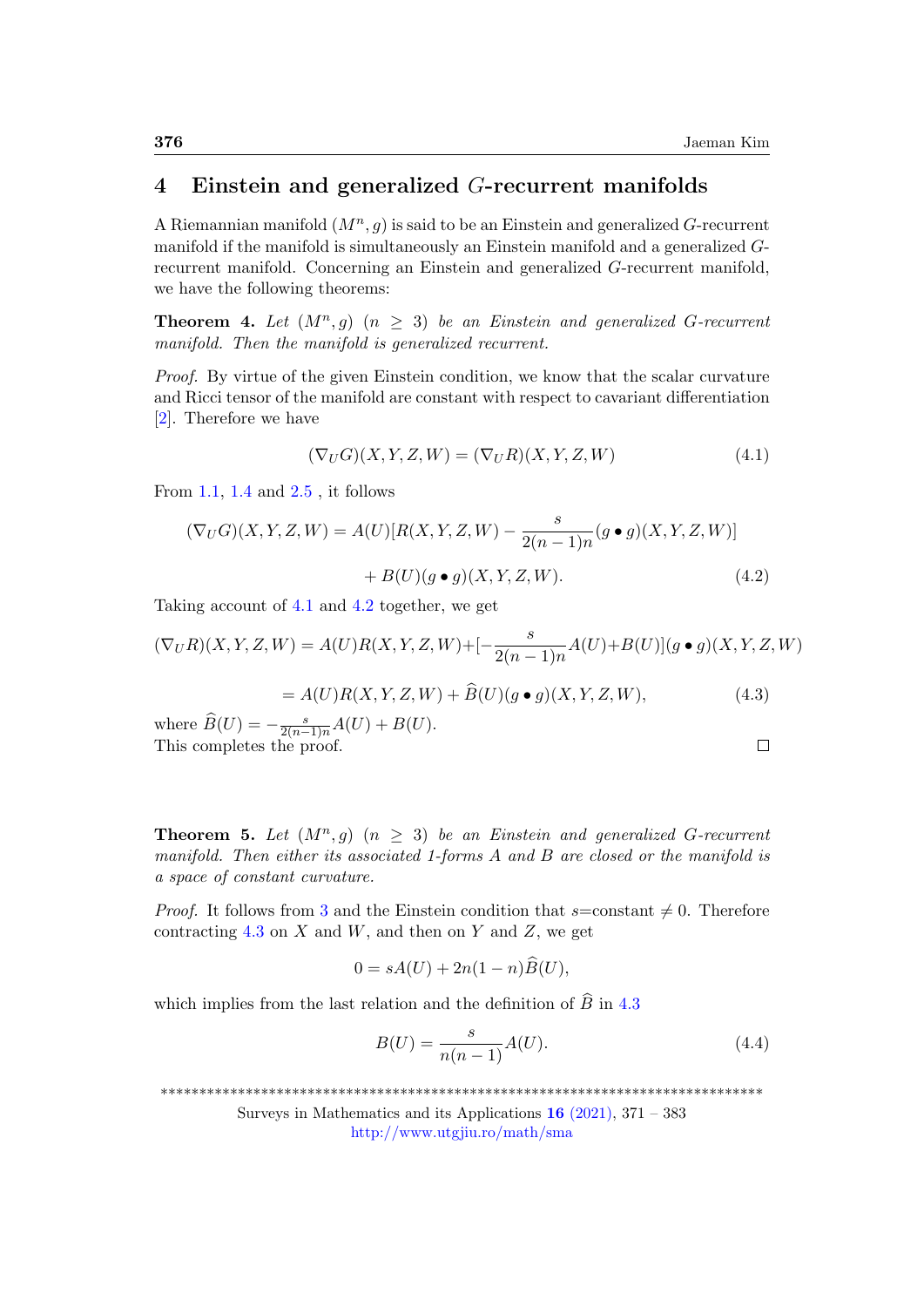$\Box$ 

### 4 Einstein and generalized G-recurrent manifolds

A Riemannian manifold  $(M^n, g)$  is said to be an Einstein and generalized G-recurrent manifold if the manifold is simultaneously an Einstein manifold and a generalized Grecurrent manifold. Concerning an Einstein and generalized G-recurrent manifold, we have the following theorems:

**Theorem 4.** Let  $(M^n, g)$   $(n \geq 3)$  be an Einstein and generalized G-recurrent manifold. Then the manifold is generalized recurrent.

Proof. By virtue of the given Einstein condition, we know that the scalar curvature and Ricci tensor of the manifold are constant with respect to cavariant differentiation [\[2\]](#page-10-4). Therefore we have

<span id="page-5-1"></span><span id="page-5-0"></span>
$$
(\nabla_U G)(X, Y, Z, W) = (\nabla_U R)(X, Y, Z, W)
$$
\n(4.1)

From [1.1,](#page-0-0) [1.4](#page-1-0) and [2.5](#page-2-0) , it follows

$$
(\nabla_U G)(X, Y, Z, W) = A(U)[R(X, Y, Z, W) - \frac{s}{2(n-1)n}(g \bullet g)(X, Y, Z, W)]
$$
  
+ B(U)(g \bullet g)(X, Y, Z, W). (4.2)

Taking account of [4.1](#page-5-0) and [4.2](#page-5-1) together, we get

$$
(\nabla_U R)(X, Y, Z, W) = A(U)R(X, Y, Z, W) + [-\frac{s}{2(n-1)n}A(U) + B(U)](g \bullet g)(X, Y, Z, W)
$$

<span id="page-5-2"></span>
$$
= A(U)R(X, Y, Z, W) + \widehat{B}(U)(g \bullet g)(X, Y, Z, W), \tag{4.3}
$$

where  $\widehat{B}(U) = -\frac{s}{2(n-1)n}A(U) + B(U).$ This completes the proof.

<span id="page-5-4"></span>**Theorem 5.** Let  $(M^n, g)$   $(n \geq 3)$  be an Einstein and generalized G-recurrent manifold. Then either its associated 1-forms A and B are closed or the manifold is a space of constant curvature.

*Proof.* It follows from [3](#page-4-2) and the Einstein condition that  $s=constant \neq 0$ . Therefore contracting [4.3](#page-5-2) on  $X$  and  $W$ , and then on  $Y$  and  $Z$ , we get

$$
0 = sA(U) + 2n(1 - n)B(U),
$$

which implies from the last relation and the definition of  $\hat{B}$  in [4.3](#page-5-2)

<span id="page-5-3"></span>
$$
B(U) = \frac{s}{n(n-1)}A(U).
$$
\n(4.4)

\*\*\*\*\*\*\*\*\*\*\*\*\*\*\*\*\*\*\*\*\*\*\*\*\*\*\*\*\*\*\*\*\*\*\*\*\*\*\*\*\*\*\*\*\*\*\*\*\*\*\*\*\*\*\*\*\*\*\*\*\*\*\*\*\*\*\*\*\*\*\*\*\*\*\*\*\*\*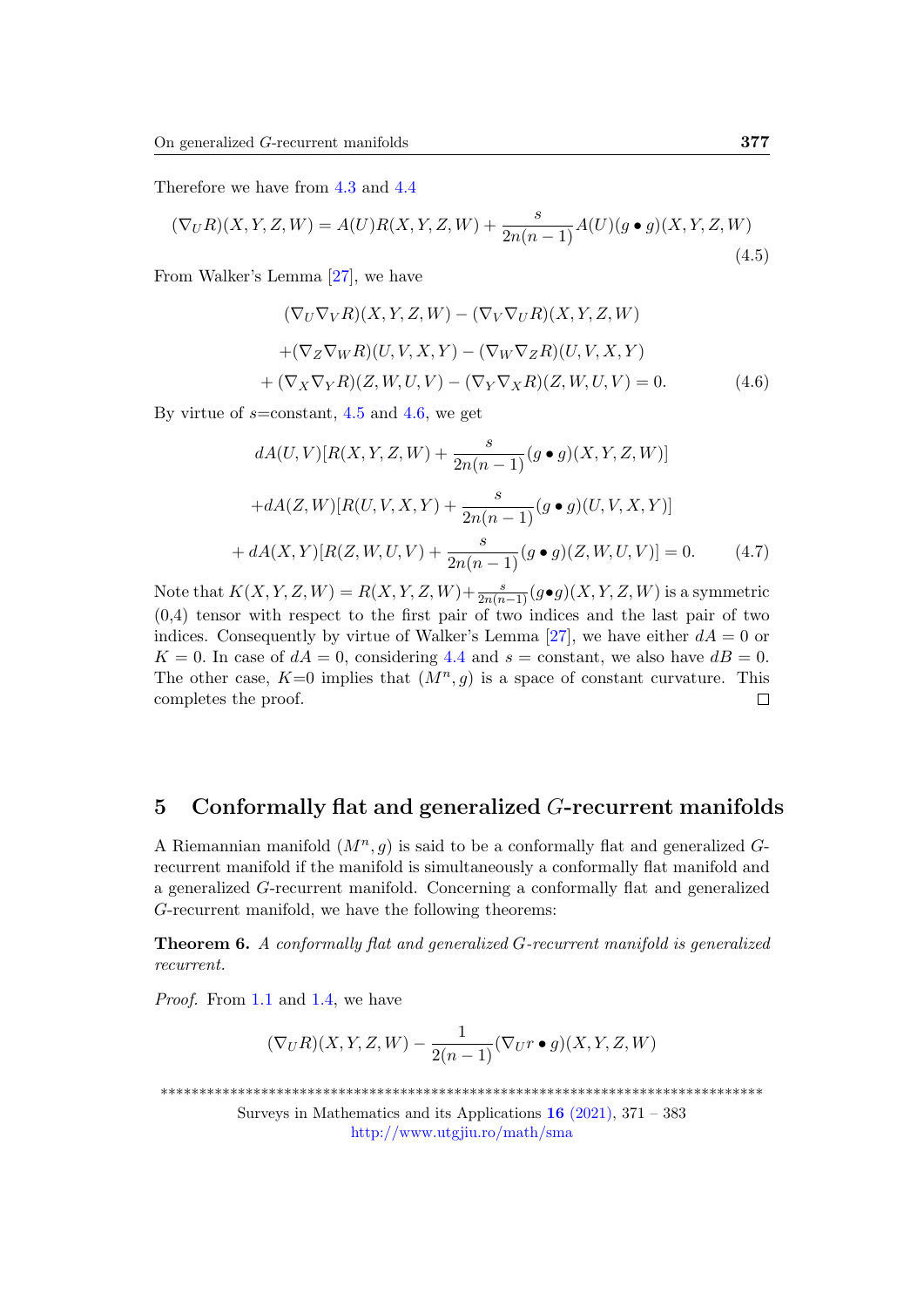Therefore we have from [4.3](#page-5-2) and [4.4](#page-5-3)

<span id="page-6-0"></span>
$$
(\nabla_U R)(X, Y, Z, W) = A(U)R(X, Y, Z, W) + \frac{s}{2n(n-1)}A(U)(g \bullet g)(X, Y, Z, W)
$$
\n(4.5)

From Walker's Lemma [\[27\]](#page-12-8), we have

<span id="page-6-1"></span>
$$
(\nabla_U \nabla_V R)(X, Y, Z, W) - (\nabla_V \nabla_U R)(X, Y, Z, W)
$$

$$
+(\nabla_Z \nabla_W R)(U, V, X, Y) - (\nabla_W \nabla_Z R)(U, V, X, Y)
$$

$$
+(\nabla_X \nabla_Y R)(Z, W, U, V) - (\nabla_Y \nabla_X R)(Z, W, U, V) = 0.
$$
(4.6)

By virtue of  $s=constant$ , [4.5](#page-6-0) and [4.6,](#page-6-1) we get

$$
dA(U,V)[R(X,Y,Z,W) + \frac{s}{2n(n-1)}(g \bullet g)(X,Y,Z,W)]
$$

$$
+ dA(Z,W)[R(U,V,X,Y) + \frac{s}{2n(n-1)}(g \bullet g)(U,V,X,Y)]
$$

$$
+ dA(X,Y)[R(Z,W,U,V) + \frac{s}{2n(n-1)}(g \bullet g)(Z,W,U,V)] = 0. \tag{4.7}
$$

Note that  $K(X, Y, Z, W) = R(X, Y, Z, W) + \frac{s}{2n(n-1)}(g \bullet g)(X, Y, Z, W)$  is a symmetric (0,4) tensor with respect to the first pair of two indices and the last pair of two indices. Consequently by virtue of Walker's Lemma [\[27\]](#page-12-8), we have either  $dA = 0$  or  $K = 0$ . In case of  $dA = 0$ , considering [4.4](#page-5-3) and  $s =$  constant, we also have  $dB = 0$ . The other case,  $K=0$  implies that  $(M^n, g)$  is a space of constant curvature. This  $\Box$ completes the proof.

### 5 Conformally flat and generalized  $G$ -recurrent manifolds

A Riemannian manifold  $(M^n, g)$  is said to be a conformally flat and generalized Grecurrent manifold if the manifold is simultaneously a conformally flat manifold and a generalized G-recurrent manifold. Concerning a conformally flat and generalized G-recurrent manifold, we have the following theorems:

Theorem 6. A conformally flat and generalized G-recurrent manifold is generalized recurrent.

Proof. From [1.1](#page-0-0) and [1.4,](#page-1-0) we have

$$
(\nabla_U R)(X,Y,Z,W)-\frac{1}{2(n-1)}(\nabla_U r\bullet g)(X,Y,Z,W)
$$

\*\*\*\*\*\*\*\*\*\*\*\*\*\*\*\*\*\*\*\*\*\*\*\*\*\*\*\*\*\*\*\*\*\*\*\*\*\*\*\*\*\*\*\*\*\*\*\*\*\*\*\*\*\*\*\*\*\*\*\*\*\*\*\*\*\*\*\*\*\*\*\*\*\*\*\*\*\*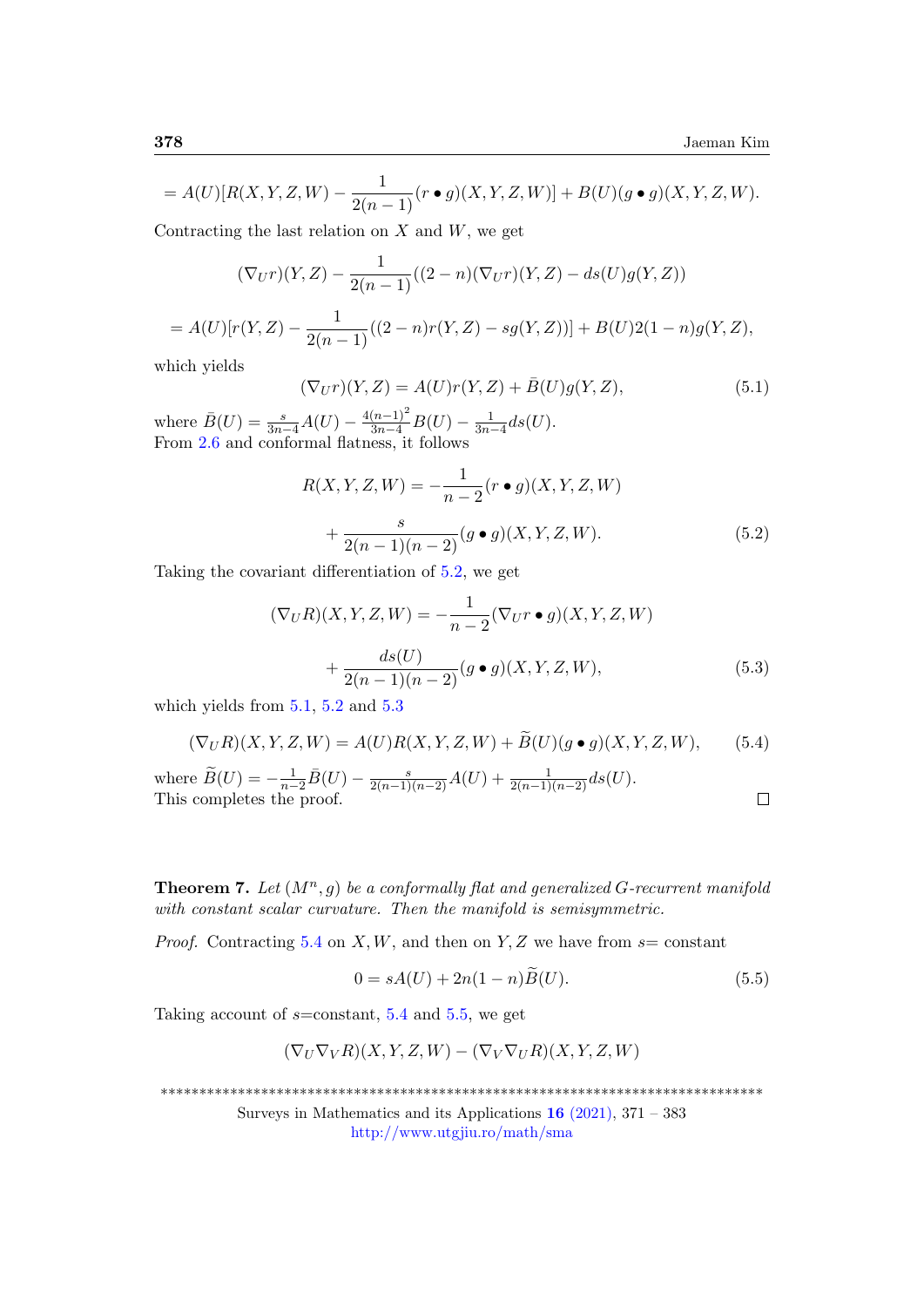$$
= A(U)[R(X, Y, Z, W) - \frac{1}{2(n-1)}(r \bullet g)(X, Y, Z, W)] + B(U)(g \bullet g)(X, Y, Z, W).
$$

Contracting the last relation on  $X$  and  $W$ , we get

$$
(\nabla_U r)(Y,Z) - \frac{1}{2(n-1)}((2-n)(\nabla_U r)(Y,Z) - ds(U)g(Y,Z))
$$

$$
= A(U)[r(Y,Z) - \frac{1}{2(n-1)}((2-n)r(Y,Z) - sg(Y,Z))] + B(U)2(1-n)g(Y,Z),
$$

which yields

<span id="page-7-1"></span>
$$
(\nabla_U r)(Y, Z) = A(U)r(Y, Z) + \bar{B}(U)g(Y, Z),
$$
\n(5.1)

where  $\bar{B}(U) = \frac{s}{3n-4}A(U) - \frac{4(n-1)^2}{3n-4}B(U) - \frac{1}{3n-4}ds(U).$ From [2.6](#page-2-1) and conformal flatness, it follows

<span id="page-7-0"></span>
$$
R(X, Y, Z, W) = -\frac{1}{n-2} (r \bullet g)(X, Y, Z, W)
$$

$$
+ \frac{s}{2(n-1)(n-2)} (g \bullet g)(X, Y, Z, W).
$$
(5.2)

Taking the covariant differentiation of [5.2,](#page-7-0) we get

<span id="page-7-2"></span>
$$
(\nabla_U R)(X, Y, Z, W) = -\frac{1}{n-2} (\nabla_U r \bullet g)(X, Y, Z, W) + \frac{ds(U)}{2(n-1)(n-2)} (g \bullet g)(X, Y, Z, W),
$$
(5.3)

which yields from  $5.1$ ,  $5.2$  and  $5.3$ 

<span id="page-7-3"></span>
$$
(\nabla_U R)(X, Y, Z, W) = A(U)R(X, Y, Z, W) + \widetilde{B}(U)(g \bullet g)(X, Y, Z, W), \tag{5.4}
$$

where 
$$
\widetilde{B}(U) = -\frac{1}{n-2}\overline{B}(U) - \frac{s}{2(n-1)(n-2)}A(U) + \frac{1}{2(n-1)(n-2)}ds(U).
$$
 This completes the proof.

**Theorem 7.** Let  $(M^n, g)$  be a conformally flat and generalized G-recurrent manifold with constant scalar curvature. Then the manifold is semisymmetric.

*Proof.* Contracting [5.4](#page-7-3) on X, W, and then on Y, Z we have from  $s=$  constant

<span id="page-7-4"></span>
$$
0 = sA(U) + 2n(1 - n)B(U).
$$
 (5.5)

Taking account of  $s=constant$ , [5.4](#page-7-3) and [5.5,](#page-7-4) we get

$$
(\nabla_U \nabla_V R)(X, Y, Z, W) - (\nabla_V \nabla_U R)(X, Y, Z, W)
$$

\*\*\*\*\*\*\*\*\*\*\*\*\*\*\*\*\*\*\*\*\*\*\*\*\*\*\*\*\*\*\*\*\*\*\*\*\*\*\*\*\*\*\*\*\*\*\*\*\*\*\*\*\*\*\*\*\*\*\*\*\*\*\*\*\*\*\*\*\*\*\*\*\*\*\*\*\*\*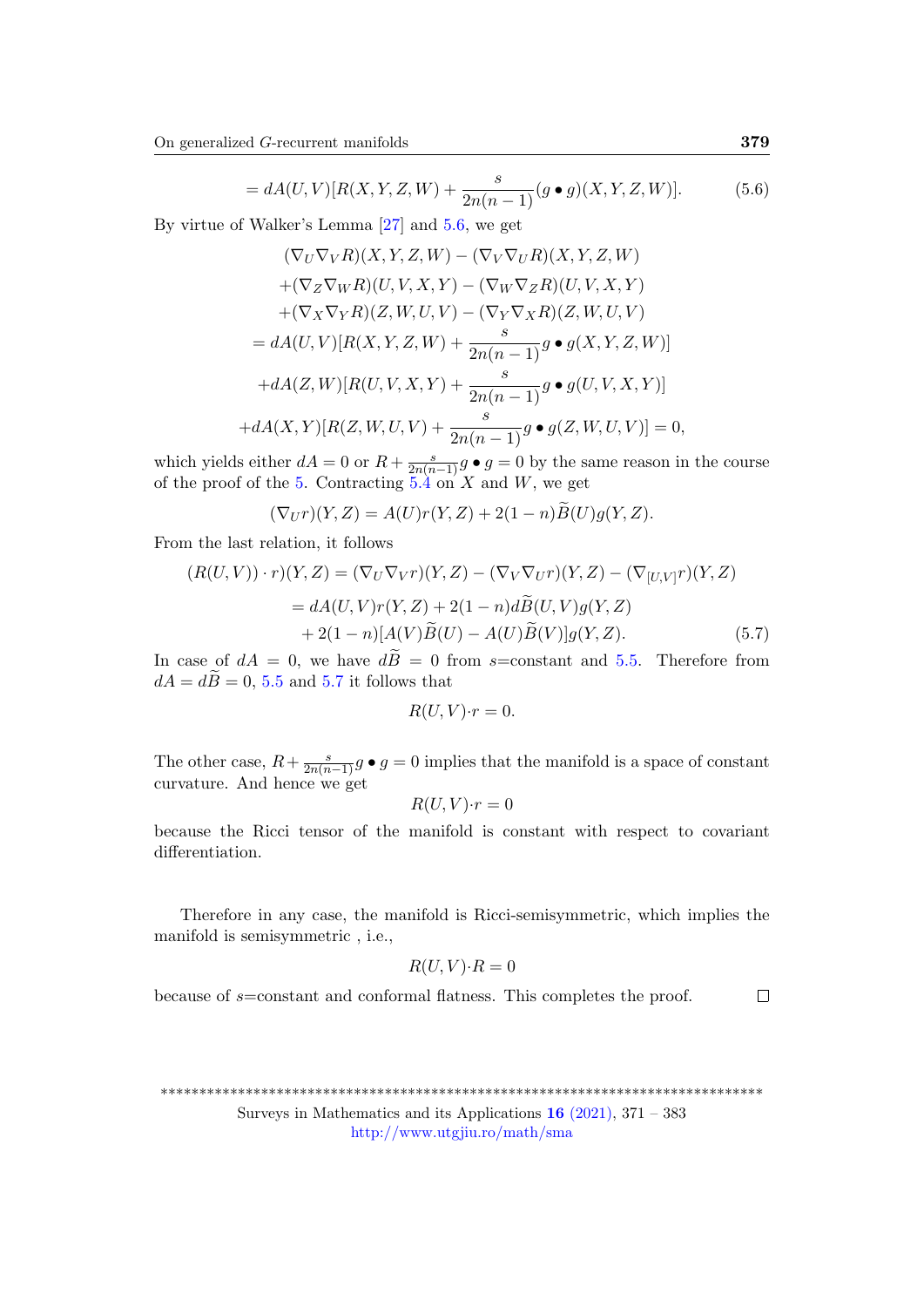<span id="page-8-0"></span>
$$
= dA(U,V)[R(X,Y,Z,W) + \frac{s}{2n(n-1)}(g \bullet g)(X,Y,Z,W)].
$$
 (5.6)

By virtue of Walker's Lemma [\[27\]](#page-12-8) and [5.6,](#page-8-0) we get

$$
(\nabla_U \nabla_V R)(X, Y, Z, W) - (\nabla_V \nabla_U R)(X, Y, Z, W)
$$
  
+
$$
(\nabla_Z \nabla_W R)(U, V, X, Y) - (\nabla_W \nabla_Z R)(U, V, X, Y)
$$
  
+
$$
(\nabla_X \nabla_Y R)(Z, W, U, V) - (\nabla_Y \nabla_X R)(Z, W, U, V)
$$
  
= 
$$
dA(U, V)[R(X, Y, Z, W) + \frac{s}{2n(n-1)}g \bullet g(X, Y, Z, W)]
$$
  
+
$$
dA(Z, W)[R(U, V, X, Y) + \frac{s}{2n(n-1)}g \bullet g(U, V, X, Y)]
$$
  
+
$$
dA(X, Y)[R(Z, W, U, V) + \frac{s}{2n(n-1)}g \bullet g(Z, W, U, V)] = 0,
$$

which yields either  $dA = 0$  or  $R + \frac{s}{2n(n-1)}g \bullet g = 0$  by the same reason in the course of the proof of the [5.](#page-5-4) Contracting  $5.\overline{4}$  on X and W, we get

<span id="page-8-1"></span>
$$
(\nabla_U r)(Y,Z) = A(U)r(Y,Z) + 2(1-n)\widetilde{B}(U)g(Y,Z).
$$

From the last relation, it follows

$$
(R(U,V)) \cdot r)(Y,Z) = (\nabla_U \nabla_V r)(Y,Z) - (\nabla_V \nabla_U r)(Y,Z) - (\nabla_{[U,V]}r)(Y,Z)
$$

$$
= dA(U,V)r(Y,Z) + 2(1-n)d\widetilde{B}(U,V)g(Y,Z)
$$

$$
+ 2(1-n)[A(V)\widetilde{B}(U) - A(U)\widetilde{B}(V)]g(Y,Z). \tag{5.7}
$$

In case of  $dA = 0$ , we have  $d\tilde{B} = 0$  from s=constant and [5.5.](#page-7-4) Therefore from  $dA = d\tilde{B} = 0$ , [5.5](#page-7-4) and [5.7](#page-8-1) it follows that

$$
R(U,V)\cdot r=0.
$$

The other case,  $R + \frac{s}{2n(n-1)}g \bullet g = 0$  implies that the manifold is a space of constant curvature. And hence we get

$$
R(U,V)\cdot r=0
$$

because the Ricci tensor of the manifold is constant with respect to covariant differentiation.

Therefore in any case, the manifold is Ricci-semisymmetric, which implies the manifold is semisymmetric , i.e.,

$$
R(U,V) \cdot R = 0
$$

because of s=constant and conformal flatness. This completes the proof.

 $\Box$ 

```
******************************************************************************
```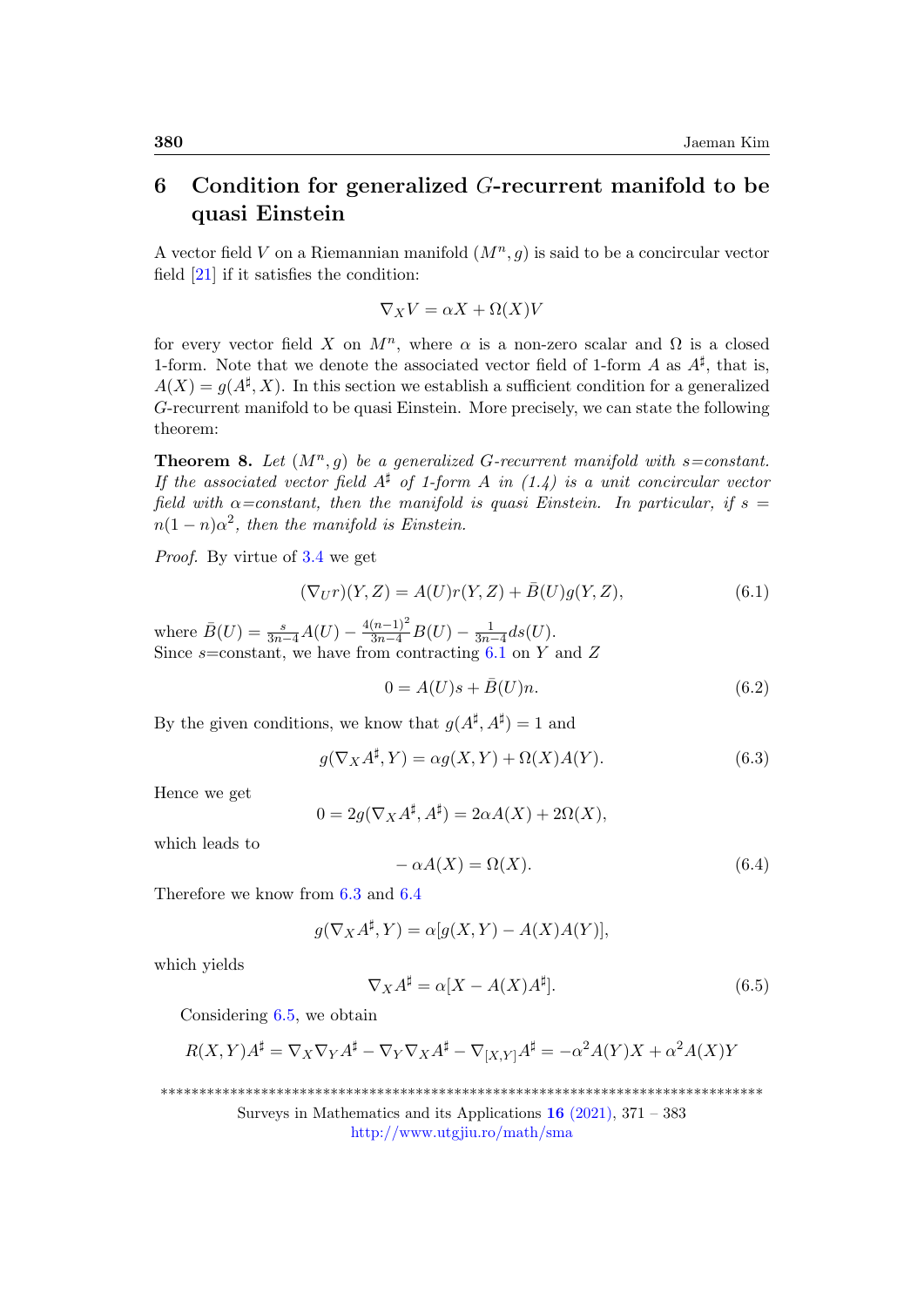# 6 Condition for generalized  $G$ -recurrent manifold to be quasi Einstein

A vector field V on a Riemannian manifold  $(M^n, g)$  is said to be a concircular vector field [\[21\]](#page-11-13) if it satisfies the condition:

$$
\nabla_X V = \alpha X + \Omega(X) V
$$

for every vector field X on  $M^n$ , where  $\alpha$  is a non-zero scalar and  $\Omega$  is a closed 1-form. Note that we denote the associated vector field of 1-form A as  $A^{\sharp}$ , that is,  $A(X) = g(A^{\sharp}, X)$ . In this section we establish a sufficient condition for a generalized G-recurrent manifold to be quasi Einstein. More precisely, we can state the following theorem:

**Theorem 8.** Let  $(M^n, g)$  be a generalized G-recurrent manifold with  $s=constant$ . If the associated vector field  $A^{\sharp}$  of 1-form A in (1.4) is a unit concircular vector field with  $\alpha$ =constant, then the manifold is quasi Einstein. In particular, if  $s =$  $n(1-n)\alpha^2$ , then the manifold is Einstein.

Proof. By virtue of [3.4](#page-4-1) we get

<span id="page-9-0"></span>
$$
(\nabla_U r)(Y, Z) = A(U)r(Y, Z) + \bar{B}(U)g(Y, Z),
$$
\n(6.1)

where  $\bar{B}(U) = \frac{s}{3n-4}A(U) - \frac{4(n-1)^2}{3n-4}B(U) - \frac{1}{3n-4}ds(U).$ Since  $s=$ constant, we have from contracting  $6.1$  on Y and Z

<span id="page-9-4"></span>
$$
0 = A(U)s + \bar{B}(U)n.
$$
\n
$$
(6.2)
$$

By the given conditions, we know that  $g(A^{\sharp}, A^{\sharp}) = 1$  and

<span id="page-9-1"></span>
$$
g(\nabla_X A^{\sharp}, Y) = \alpha g(X, Y) + \Omega(X)A(Y). \tag{6.3}
$$

Hence we get

$$
0 = 2g(\nabla_X A^{\sharp}, A^{\sharp}) = 2\alpha A(X) + 2\Omega(X),
$$

which leads to

<span id="page-9-2"></span>
$$
-\alpha A(X) = \Omega(X). \tag{6.4}
$$

Therefore we know from [6.3](#page-9-1) and [6.4](#page-9-2)

$$
g(\nabla_X A^{\sharp}, Y) = \alpha[g(X, Y) - A(X)A(Y)],
$$

which yields

<span id="page-9-3"></span>
$$
\nabla_X A^{\sharp} = \alpha [X - A(X)A^{\sharp}]. \tag{6.5}
$$

Considering [6.5,](#page-9-3) we obtain

$$
R(X,Y)A^{\sharp} = \nabla_X \nabla_Y A^{\sharp} - \nabla_Y \nabla_X A^{\sharp} - \nabla_{[X,Y]} A^{\sharp} = -\alpha^2 A(Y)X + \alpha^2 A(X)Y
$$

\*\*\*\*\*\*\*\*\*\*\*\*\*\*\*\*\*\*\*\*\*\*\*\*\*\*\*\*\*\*\*\*\*\*\*\*\*\*\*\*\*\*\*\*\*\*\*\*\*\*\*\*\*\*\*\*\*\*\*\*\*\*\*\*\*\*\*\*\*\*\*\*\*\*\*\*\*\*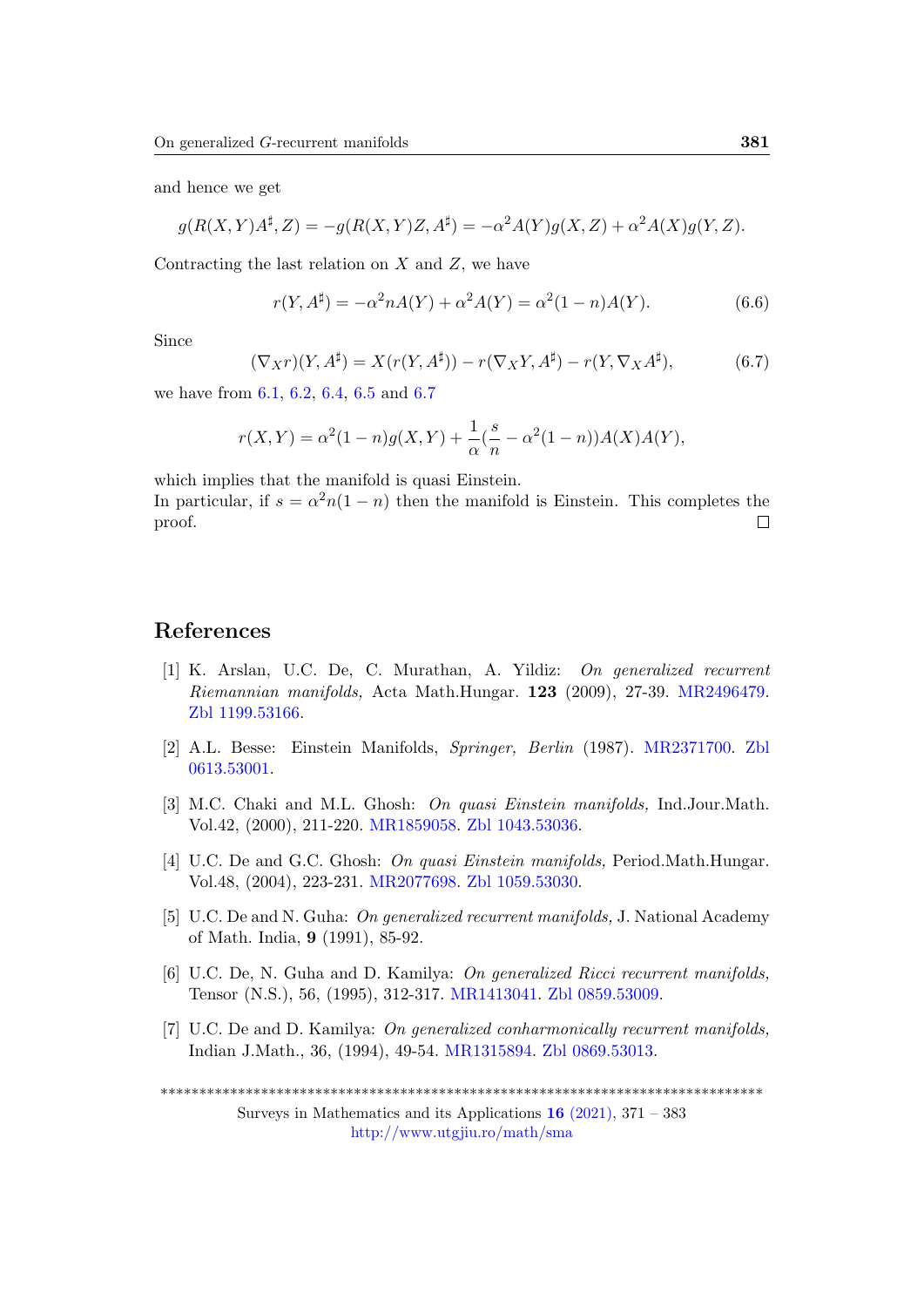and hence we get

$$
g(R(X,Y)A^{\sharp},Z) = -g(R(X,Y)Z,A^{\sharp}) = -\alpha^2 A(Y)g(X,Z) + \alpha^2 A(X)g(Y,Z).
$$

Contracting the last relation on  $X$  and  $Z$ , we have

$$
r(Y, A^{\sharp}) = -\alpha^2 n A(Y) + \alpha^2 A(Y) = \alpha^2 (1 - n) A(Y).
$$
 (6.6)

Since

<span id="page-10-7"></span>
$$
(\nabla_X r)(Y, A^{\sharp}) = X(r(Y, A^{\sharp})) - r(\nabla_X Y, A^{\sharp}) - r(Y, \nabla_X A^{\sharp}), \tag{6.7}
$$

we have from [6.1,](#page-9-0) [6.2,](#page-9-4) [6.4,](#page-9-2) [6.5](#page-9-3) and [6.7](#page-10-7)

$$
r(X,Y) = \alpha^{2}(1-n)g(X,Y) + \frac{1}{\alpha}(\frac{s}{n} - \alpha^{2}(1-n))A(X)A(Y),
$$

which implies that the manifold is quasi Einstein.

In particular, if  $s = \alpha^2 n(1 - n)$  then the manifold is Einstein. This completes the proof.  $\Box$ 

### References

- <span id="page-10-0"></span>[1] K. Arslan, U.C. De, C. Murathan, A. Yildiz: On generalized recurrent Riemannian manifolds, Acta Math.Hungar. 123 (2009), 27-39. [MR2496479.](http://www.ams.org/mathscinet-getitem?mr=2496479) [Zbl 1199.53166.](https://zbmath.org/?q=an:1199.53166)
- <span id="page-10-4"></span>[2] A.L. Besse: Einstein Manifolds, Springer, Berlin (1987). [MR2371700.](http://www.ams.org/mathscinet-getitem?mr=2371700) [Zbl](https://zbmath.org/?q=an:0613.53001) [0613.53001.](https://zbmath.org/?q=an:0613.53001)
- <span id="page-10-5"></span>[3] M.C. Chaki and M.L. Ghosh: On quasi Einstein manifolds, Ind.Jour.Math. Vol.42, (2000), 211-220. [MR1859058.](http://www.ams.org/mathscinet-getitem?mr=1859058) [Zbl 1043.53036.](https://zbmath.org/?q=an:1043.53036)
- <span id="page-10-6"></span>[4] U.C. De and G.C. Ghosh: *On quasi Einstein manifolds*, Period.Math.Hungar. Vol.48, (2004), 223-231. [MR2077698.](http://www.ams.org/mathscinet-getitem?mr=2077698) [Zbl 1059.53030.](https://zbmath.org/?q=an:1059.53030)
- <span id="page-10-1"></span>[5] U.C. De and N. Guha: On generalized recurrent manifolds, J. National Academy of Math. India, 9 (1991), 85-92.
- <span id="page-10-2"></span>[6] U.C. De, N. Guha and D. Kamilya: On generalized Ricci recurrent manifolds, Tensor (N.S.), 56, (1995), 312-317. [MR1413041.](http://www.ams.org/mathscinet-getitem?mr=1413041) [Zbl 0859.53009.](https://zbmath.org/?q=an:0859.53009)
- <span id="page-10-3"></span>[7] U.C. De and D. Kamilya: On generalized conharmonically recurrent manifolds, Indian J.Math., 36, (1994), 49-54. [MR1315894.](http://www.ams.org/mathscinet-getitem?mr=1315894) [Zbl 0869.53013.](https://zbmath.org/?q=an:0869.53013)

\*\*\*\*\*\*\*\*\*\*\*\*\*\*\*\*\*\*\*\*\*\*\*\*\*\*\*\*\*\*\*\*\*\*\*\*\*\*\*\*\*\*\*\*\*\*\*\*\*\*\*\*\*\*\*\*\*\*\*\*\*\*\*\*\*\*\*\*\*\*\*\*\*\*\*\*\*\*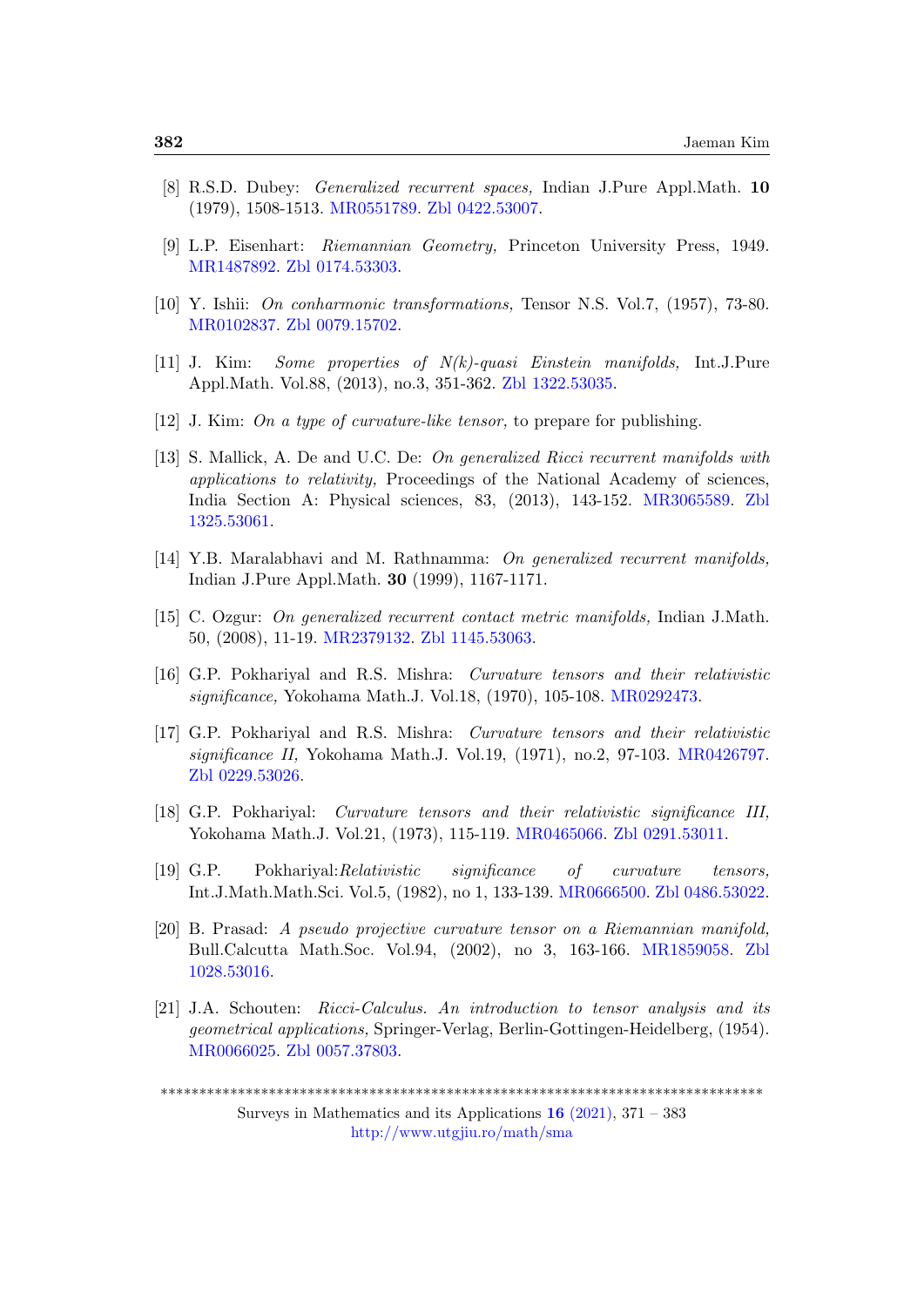- <span id="page-11-9"></span>[8] R.S.D. Dubey: Generalized recurrent spaces, Indian J.Pure Appl.Math. 10 (1979), 1508-1513. [MR0551789.](http://www.ams.org/mathscinet-getitem?mr=0551789) [Zbl 0422.53007.](https://zbmath.org/?q=an:0422.53007)
- <span id="page-11-0"></span>[9] L.P. Eisenhart: Riemannian Geometry, Princeton University Press, 1949. [MR1487892.](http://www.ams.org/mathscinet-getitem?mr=1487892) [Zbl 0174.53303.](https://zbmath.org/?q=an:0174.53303)
- <span id="page-11-1"></span>[10] Y. Ishii: On conharmonic transformations, Tensor N.S. Vol.7, (1957), 73-80. [MR0102837.](http://www.ams.org/mathscinet-getitem?mr=0102837) [Zbl 0079.15702.](https://zbmath.org/?q=an:0079.15702)
- <span id="page-11-7"></span>[11] J. Kim: Some properties of N(k)-quasi Einstein manifolds, Int.J.Pure Appl.Math. Vol.88, (2013), no.3, 351-362. [Zbl 1322.53035.](https://zbmath.org/?q=an:1322.53035)
- <span id="page-11-8"></span>[12] J. Kim: On a type of curvature-like tensor, to prepare for publishing.
- <span id="page-11-10"></span>[13] S. Mallick, A. De and U.C. De: On generalized Ricci recurrent manifolds with applications to relativity, Proceedings of the National Academy of sciences, India Section A: Physical sciences, 83, (2013), 143-152. [MR3065589.](http://www.ams.org/mathscinet-getitem?mr=3065589) [Zbl](https://zbmath.org/?q=an:1325.53061) [1325.53061.](https://zbmath.org/?q=an:1325.53061)
- <span id="page-11-11"></span>[14] Y.B. Maralabhavi and M. Rathnamma: On generalized recurrent manifolds, Indian J.Pure Appl.Math. 30 (1999), 1167-1171.
- <span id="page-11-12"></span>[15] C. Ozgur: On generalized recurrent contact metric manifolds, Indian J.Math. 50, (2008), 11-19. [MR2379132.](http://www.ams.org/mathscinet-getitem?mr=2379132) [Zbl 1145.53063.](https://zbmath.org/?q=an:1145.53063)
- <span id="page-11-3"></span>[16] G.P. Pokhariyal and R.S. Mishra: Curvature tensors and their relativistic significance, Yokohama Math.J. Vol.18, (1970), 105-108. [MR0292473.](http://www.ams.org/mathscinet-getitem?mr=0292473)
- <span id="page-11-2"></span>[17] G.P. Pokhariyal and R.S. Mishra: Curvature tensors and their relativistic significance II, Yokohama Math.J. Vol.19, (1971), no.2, 97-103. [MR0426797.](http://www.ams.org/mathscinet-getitem?mr=0426797) [Zbl 0229.53026.](https://zbmath.org/?q=an:0229.53026)
- <span id="page-11-4"></span>[18] G.P. Pokhariyal: Curvature tensors and their relativistic significance III, Yokohama Math.J. Vol.21, (1973), 115-119. [MR0465066.](http://www.ams.org/mathscinet-getitem?mr=0465066) [Zbl 0291.53011.](https://zbmath.org/?q=an:0291.53011)
- <span id="page-11-5"></span>[19] G.P. Pokhariyal:Relativistic significance of curvature tensors, Int.J.Math.Math.Sci. Vol.5, (1982), no 1, 133-139. [MR0666500.](http://www.ams.org/mathscinet-getitem?mr=0666500) [Zbl 0486.53022.](https://zbmath.org/?q=an:0486.53022)
- <span id="page-11-6"></span>[20] B. Prasad: A pseudo projective curvature tensor on a Riemannian manifold, Bull.Calcutta Math.Soc. Vol.94, (2002), no 3, 163-166. [MR1859058.](http://www.ams.org/mathscinet-getitem?mr=1947297) [Zbl](https://zbmath.org/?q=an:1028.53016) [1028.53016.](https://zbmath.org/?q=an:1028.53016)
- <span id="page-11-13"></span>[21] J.A. Schouten: Ricci-Calculus. An introduction to tensor analysis and its geometrical applications, Springer-Verlag, Berlin-Gottingen-Heidelberg, (1954). [MR0066025.](http://www.ams.org/mathscinet-getitem?mr=0066025) [Zbl 0057.37803.](https://zbmath.org/?q=an:0057.37803)

<sup>\*\*\*\*\*\*\*\*\*\*\*\*\*\*\*\*\*\*\*\*\*\*\*\*\*\*\*\*\*\*\*\*\*\*\*\*\*\*\*\*\*\*\*\*\*\*\*\*\*\*\*\*\*\*\*\*\*\*\*\*\*\*\*\*\*\*\*\*\*\*\*\*\*\*\*\*\*\*</sup>

Surveys in Mathematics and its Applications  $16$  [\(2021\),](http://www.utgjiu.ro/math/sma/v16/v16.html) 371 – 383 <http://www.utgjiu.ro/math/sma>